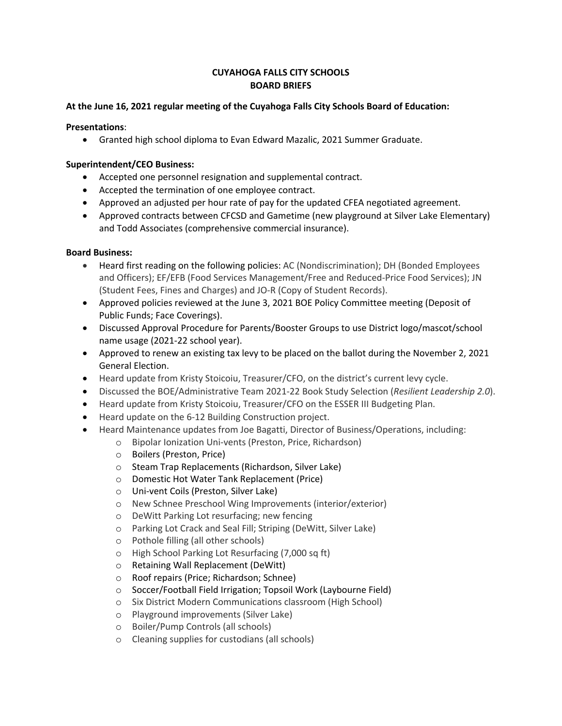# **CUYAHOGA FALLS CITY SCHOOLS BOARD BRIEFS**

## **At the June 16, 2021 regular meeting of the Cuyahoga Falls City Schools Board of Education:**

### **Presentations**:

• Granted high school diploma to Evan Edward Mazalic, 2021 Summer Graduate.

### **Superintendent/CEO Business:**

- Accepted one personnel resignation and supplemental contract.
- Accepted the termination of one employee contract.
- Approved an adjusted per hour rate of pay for the updated CFEA negotiated agreement.
- Approved contracts between CFCSD and Gametime (new playground at Silver Lake Elementary) and Todd Associates (comprehensive commercial insurance).

### **Board Business:**

- Heard first reading on the following policies: AC (Nondiscrimination); DH (Bonded Employees and Officers); EF/EFB (Food Services Management/Free and Reduced-Price Food Services); JN (Student Fees, Fines and Charges) and JO-R (Copy of Student Records).
- Approved policies reviewed at the June 3, 2021 BOE Policy Committee meeting (Deposit of Public Funds; Face Coverings).
- Discussed Approval Procedure for Parents/Booster Groups to use District logo/mascot/school name usage (2021-22 school year).
- Approved to renew an existing tax levy to be placed on the ballot during the November 2, 2021 General Election.
- Heard update from Kristy Stoicoiu, Treasurer/CFO, on the district's current levy cycle.
- Discussed the BOE/Administrative Team 2021-22 Book Study Selection (*Resilient Leadership 2.0*).
- Heard update from Kristy Stoicoiu, Treasurer/CFO on the ESSER III Budgeting Plan.
- Heard update on the 6-12 Building Construction project.
- Heard Maintenance updates from Joe Bagatti, Director of Business/Operations, including:
	- o Bipolar Ionization Uni-vents (Preston, Price, Richardson)
	- o Boilers (Preston, Price)
	- o Steam Trap Replacements (Richardson, Silver Lake)
	- o Domestic Hot Water Tank Replacement (Price)
	- o Uni-vent Coils (Preston, Silver Lake)
	- o New Schnee Preschool Wing Improvements (interior/exterior)
	- o DeWitt Parking Lot resurfacing; new fencing
	- o Parking Lot Crack and Seal Fill; Striping (DeWitt, Silver Lake)
	- o Pothole filling (all other schools)
	- o High School Parking Lot Resurfacing (7,000 sq ft)
	- o Retaining Wall Replacement (DeWitt)
	- o Roof repairs (Price; Richardson; Schnee)
	- o Soccer/Football Field Irrigation; Topsoil Work (Laybourne Field)
	- o Six District Modern Communications classroom (High School)
	- o Playground improvements (Silver Lake)
	- o Boiler/Pump Controls (all schools)
	- o Cleaning supplies for custodians (all schools)